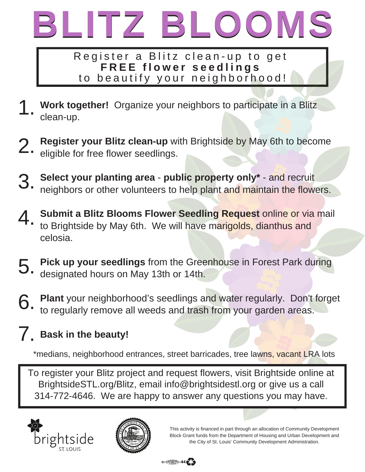

Register a Blitz clean-up to get **F R E E f l o w e r s e e d l i n g s** to beautify your neighborhood!

- **Work together!** Organize your neighbors to participate in a Blitz clean-up. 1.
- **Register your Blitz clean-up** with Brightside by May 6th to become eligible for free flower seedlings. 2.
- **Select your planting area public property only\*** and recruit neighbors or other volunteers to help plant and maintain the flowers. 3.
- **Submit a Blitz Blooms Flower Seedling Request** online or via mail to Brightside by May 6th. We will have marigolds, dianthus and celosia. 4.
- **Pick up your seedlings** from the Greenhouse in Forest Park during designated hours on May 13th or 14th. 5.
- **Plant** your neighborhood's seedlings and water regularly. Don't forget to regularly remove all weeds and trash from your garden areas. 6.

## **Bask in the beauty!** 7.

\*medians, neighborhood entrances, street barricades, tree lawns, vacant LRA lots

To register your Blitz project and request flowers, visit Brightside online at BrightsideSTL.org/Blitz, email info@brightsidestl.org or give us a call 314-772-4646. We are happy to answer any questions you may have.





This activity is financed in part through an allocation of Community Development Block Grant funds from the Department of Housing and Urban Development and the City of St. Louis' Community Development Administration.